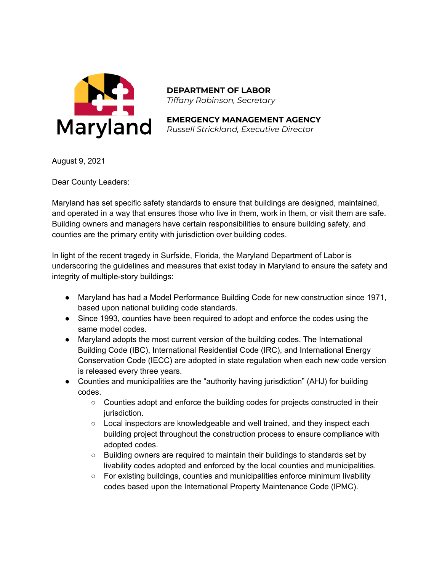

**DEPARTMENT OF LABOR** *Tiffany Robinson, Secretary*

**EMERGENCY MANAGEMENT AGENCY** *Russell Strickland, Executive Director*

August 9, 2021

Dear County Leaders:

Maryland has set specific safety standards to ensure that buildings are designed, maintained, and operated in a way that ensures those who live in them, work in them, or visit them are safe. Building owners and managers have certain responsibilities to ensure building safety, and counties are the primary entity with jurisdiction over building codes.

In light of the recent tragedy in Surfside, Florida, the Maryland Department of Labor is underscoring the guidelines and measures that exist today in Maryland to ensure the safety and integrity of multiple-story buildings:

- Maryland has had a Model Performance Building Code for new construction since 1971, based upon national building code standards.
- Since 1993, counties have been required to adopt and enforce the codes using the same model codes.
- Maryland adopts the most current version of the building codes. The International Building Code (IBC), International Residential Code (IRC), and International Energy Conservation Code (IECC) are adopted in state regulation when each new code version is released every three years.
- Counties and municipalities are the "authority having jurisdiction" (AHJ) for building codes.
	- Counties adopt and enforce the building codes for projects constructed in their jurisdiction.
	- $\circ$  Local inspectors are knowledgeable and well trained, and they inspect each building project throughout the construction process to ensure compliance with adopted codes.
	- Building owners are required to maintain their buildings to standards set by livability codes adopted and enforced by the local counties and municipalities.
	- $\circ$  For existing buildings, counties and municipalities enforce minimum livability codes based upon the International Property Maintenance Code (IPMC).